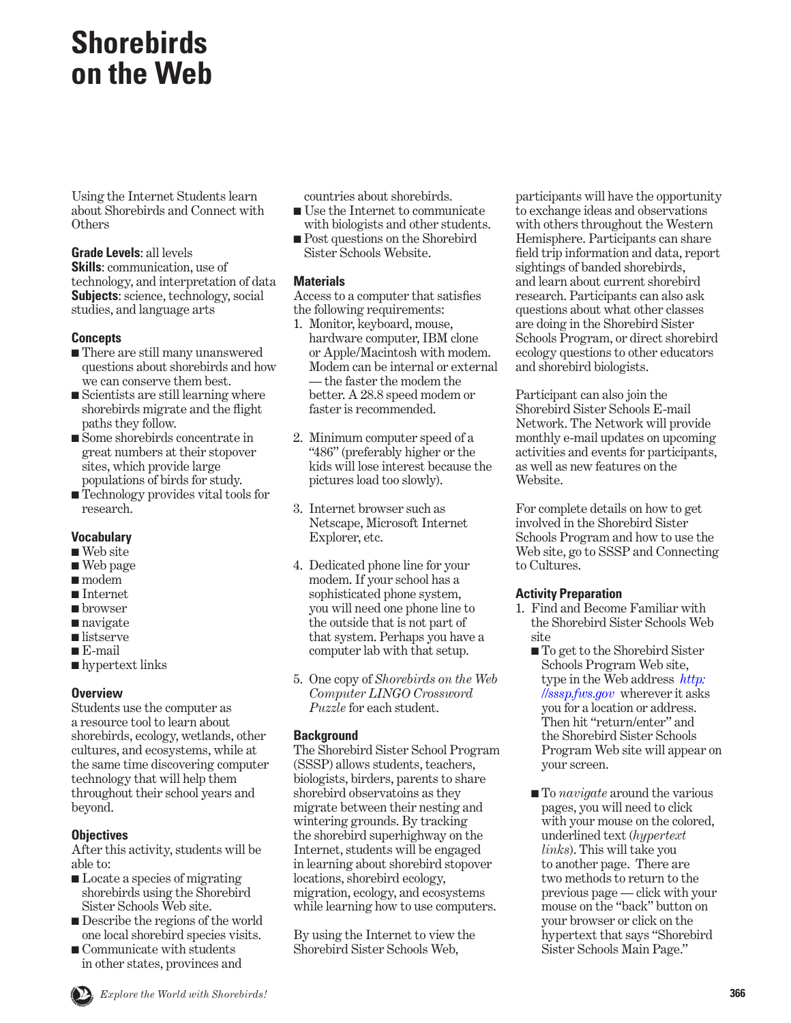# **Shorebirds on the Web**

Using the Internet Students learn about Shorebirds and Connect with **Others** 

**Grade Levels**: all levels **Skills**: communication, use of technology, and interpretation of data **Subjects**: science, technology, social studies, and language arts

## **Concepts**

- There are still many unanswered questions about shorebirds and how we can conserve them best.
- Scientists are still learning where shorebirds migrate and the flight paths they follow.
- Some shorebirds concentrate in great numbers at their stopover sites, which provide large populations of birds for study.
- Technology provides vital tools for research.

# **Vocabulary**

- Web site
- Web page
- modem
- Internet
- browser
- navigate
- listserve
- E-mail
- hypertext links

# **Overview**

Students use the computer as a resource tool to learn about shorebirds, ecology, wetlands, other cultures, and ecosystems, while at the same time discovering computer technology that will help them throughout their school years and beyond.

# **Objectives**

After this activity, students will be able to:

- Locate a species of migrating shorebirds using the Shorebird Sister Schools Web site.
- Describe the regions of the world one local shorebird species visits.
- Communicate with students in other states, provinces and

countries about shorebirds.

- Use the Internet to communicate with biologists and other students.
- Post questions on the Shorebird Sister Schools Website.

# **Materials**

Access to a computer that satisfies the following requirements:

- 1. Monitor, keyboard, mouse, hardware computer, IBM clone or Apple/Macintosh with modem. Modem can be internal or external — the faster the modem the better. A 28.8 speed modem or faster is recommended.
- 2. Minimum computer speed of a "486" (preferably higher or the kids will lose interest because the pictures load too slowly).
- 3. Internet browser such as Netscape, Microsoft Internet Explorer, etc.
- 4. Dedicated phone line for your modem. If your school has a sophisticated phone system, you will need one phone line to the outside that is not part of that system. Perhaps you have a computer lab with that setup.
- 5. One copy of *Shorebirds on the Web Computer LINGO Crossword Puzzle* for each student.

# **Background**

The Shorebird Sister School Program (SSSP) allows students, teachers, biologists, birders, parents to share shorebird observatoins as they migrate between their nesting and wintering grounds. By tracking the shorebird superhighway on the Internet, students will be engaged in learning about shorebird stopover locations, shorebird ecology, migration, ecology, and ecosystems while learning how to use computers.

By using the Internet to view the Shorebird Sister Schools Web,

participants will have the opportunity to exchange ideas and observations with others throughout the Western Hemisphere. Participants can share field trip information and data, report sightings of banded shorebirds, and learn about current shorebird research. Participants can also ask questions about what other classes are doing in the Shorebird Sister Schools Program, or direct shorebird ecology questions to other educators and shorebird biologists.

Participant can also join the Shorebird Sister Schools E-mail Network. The Network will provide monthly e-mail updates on upcoming activities and events for participants, as well as new features on the Website.

For complete details on how to get involved in the Shorebird Sister Schools Program and how to use the Web site, go to SSSP and Connecting to Cultures.

# **Activity Preparation**

- 1. Find and Become Familiar with the Shorebird Sister Schools Web site
	- To get to the Shorebird Sister Schools Program Web site, [type in the Web address](http://sssp.fws.gov) *http: //sssp.fws.gov* wherever it asks you for a location or address. Then hit "return/enter" and the Shorebird Sister Schools Program Web site will appear on your screen.
	- To *navigate* around the various pages, you will need to click with your mouse on the colored, underlined text (*hypertext links*). This will take you to another page. There are two methods to return to the previous page — click with your mouse on the "back" button on your browser or click on the hypertext that says "Shorebird Sister Schools Main Page."

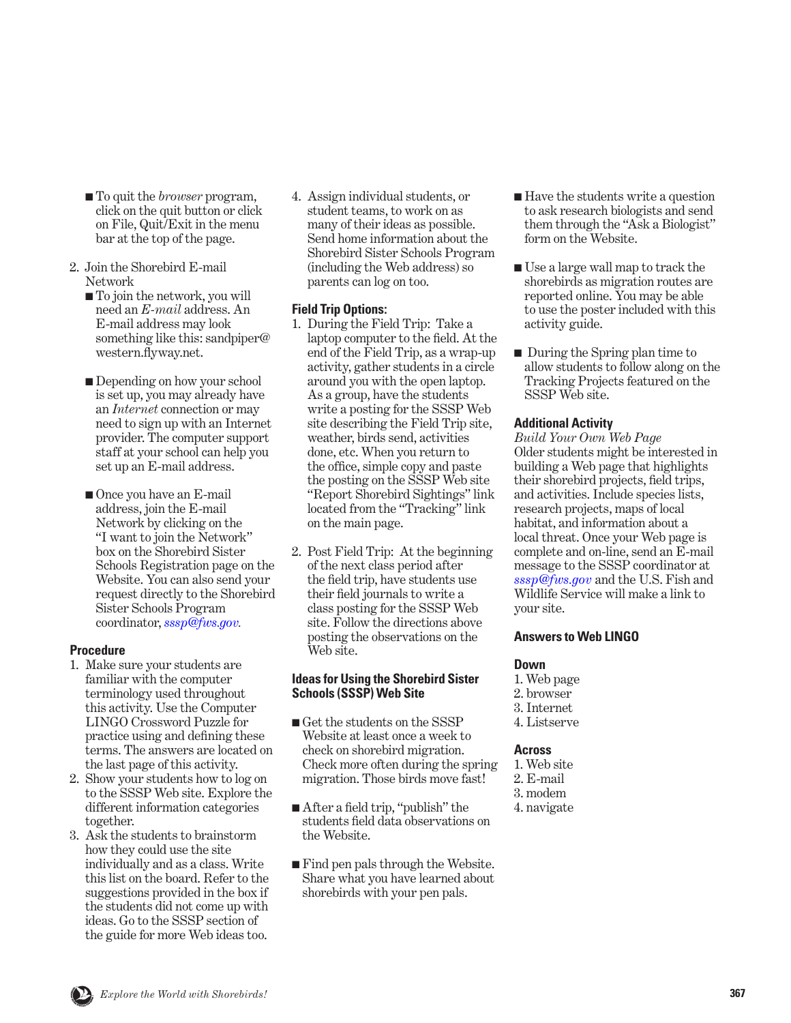- To quit the *browser* program, click on the quit button or click on File, Quit/Exit in the menu bar at the top of the page.
- 2. Join the Shorebird E-mail Network
	- To join the network, you will need an *E-mail* address. An E-mail address may look something like this: sandpiper@ western.flyway.net.
	- Depending on how your school is set up, you may already have an *Internet* connection or may need to sign up with an Internet provider. The computer support staff at your school can help you set up an E-mail address.
	- Once you have an E-mail address, join the E-mail Network by clicking on the "I want to join the Network" box on the Shorebird Sister Schools Registration page on the Website. You can also send your request directly to the Shorebird Sister Schools Program coordinator, *[sssp@fws.gov](mailto:sssp@fws.gov).*

## **Procedure**

- 1. Make sure your students are familiar with the computer terminology used throughout this activity. Use the Computer LINGO Crossword Puzzle for practice using and defining these terms. The answers are located on the last page of this activity.
- 2. Show your students how to log on to the SSSP Web site. Explore the different information categories together.
- 3. Ask the students to brainstorm how they could use the site individually and as a class. Write this list on the board. Refer to the suggestions provided in the box if the students did not come up with ideas. Go to the SSSP section of the guide for more Web ideas too.

4. Assign individual students, or student teams, to work on as many of their ideas as possible. Send home information about the Shorebird Sister Schools Program (including the Web address) so parents can log on too.

## **Field Trip Options:**

- 1. During the Field Trip: Take a laptop computer to the field. At the end of the Field Trip, as a wrap-up activity, gather students in a circle around you with the open laptop. As a group, have the students write a posting for the SSSP Web site describing the Field Trip site, weather, birds send, activities done, etc. When you return to the office, simple copy and paste the posting on the SSSP Web site "Report Shorebird Sightings" link located from the "Tracking" link on the main page.
- 2. Post Field Trip: At the beginning of the next class period after the field trip, have students use their field journals to write a class posting for the SSSP Web site. Follow the directions above posting the observations on the Web site.

#### **Ideas for Using the Shorebird Sister Schools (SSSP) Web Site**

- Get the students on the SSSP Website at least once a week to check on shorebird migration. Check more often during the spring migration. Those birds move fast!
- After a field trip, "publish" the students field data observations on the Website.
- Find pen pals through the Website. Share what you have learned about shorebirds with your pen pals.
- Have the students write a question to ask research biologists and send them through the "Ask a Biologist" form on the Website.
- Use a large wall map to track the shorebirds as migration routes are reported online. You may be able to use the poster included with this activity guide.
- During the Spring plan time to allow students to follow along on the Tracking Projects featured on the SSSP Web site.

#### **Additional Activity**

*Build Your Own Web Page* Older students might be interested in building a Web page that highlights their shorebird projects, field trips, and activities. Include species lists, research projects, maps of local habitat, and information about a local threat. Once your Web page is complete and on-line, send an E-mail message to the SSSP coordinator at *[sssp@fws.gov](mailto:sssp@fws.gov)* and the U.S. Fish and Wildlife Service will make a link to your site.

#### **Answers to Web LINGO**

#### **Down**

- 1. Web page
- 2. browser
- 3. Internet
- 4. Listserve

#### **Across**

- 1. Web site
- 2. E-mail
- 3. modem
- 4. navigate